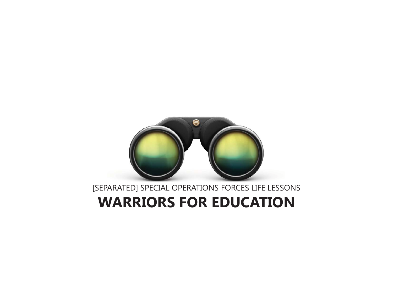# **WARRIORS FOR EDUCATION**

[SEPARATED] SPECIAL OPERATIONS FORCES LIFE LESSONS

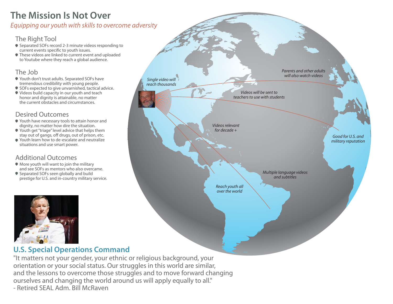## **The Mission Is Not Over**

Equipping our youth with skills to overcome adversity

#### The Right Tool

- Separated SOFs record 2-3 minute videos responding to current events specific to youth issues.
- These videos are linked to current event and uploaded to Youtube where they reach a global audience.

#### The Job

- Youth don't trust adults. Separated SOFs have tremendous credibility with young people.
- SOFs expected to give unvarnished, tactical advice.
- Videos build capacity in our youth and teach honor and dignity is attainable, no matter the current obstacles and circumstances.

#### Desired Outcomes

- Youth have necessary tools to attain honor and dignity, no matter how dire the situation.
- Youth get "triage" level advice that helps them stay out of gangs, off drugs, out of prison, etc.
- Youth learn how to de-escalate and neutralize situations and use smart power.

#### Additional Outcomes

- More youth will want to join the military and see SOFs as mentors who also overcame.
- Separated SOFs seen globally and build prestige for U.S. and in-country military service.





#### **U.S. Special Operations Command**

"It matters not your gender, your ethnic or religious background, your orientation or your social status. Our struggles in this world are similar, and the lessons to overcome those struggles and to move forward changing ourselves and changing the world around us will apply equally to all." - Retired SEAL Adm. Bill McRaven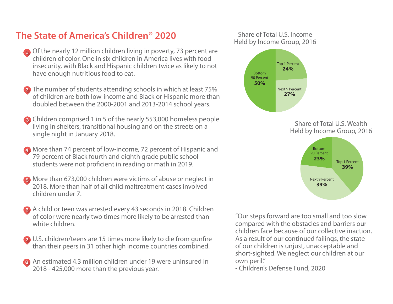## **The State of America's Children® 2020**

- Of the nearly 12 million children living in poverty, 73 percent are children of color. One in six children in America lives with food insecurity, with Black and Hispanic children twice as likely to not have enough nutritious food to eat.
- **2** The number of students attending schools in which at least 75% of children are both low-income and Black or Hispanic more than doubled between the 2000-2001 and 2013-2014 school years.
- Children comprised 1 in 5 of the nearly 553,000 homeless people living in shelters, transitional housing and on the streets on a single night in January 2018.
- More than 74 percent of low-income, 72 percent of Hispanic and 79 percent of Black fourth and eighth grade public school students were not proficient in reading or math in 2019.
- **B** More than 673,000 children were victims of abuse or neglect in 2018. More than half of all child maltreatment cases involved children under 7.
- A child or teen was arrested every 43 seconds in 2018. Children of color were nearly two times more likely to be arrested than white children.
- U.S. children/teens are 15 times more likely to die from gunfire than their peers in 31 other high income countries combined.
- An estimated 4.3 million children under 19 were uninsured in 2018 - 425,000 more than the previous year.

#### Share of Total U.S. IncomeHeld by Income Group, 2016





"Our steps forward are too small and too slow compared with the obstacles and barriers our children face because of our collective inaction. As a result of our continued failings, the state of our children is unjust, unacceptable and short-sighted. We neglect our children at our own peril."

- Children's Defense Fund, 2020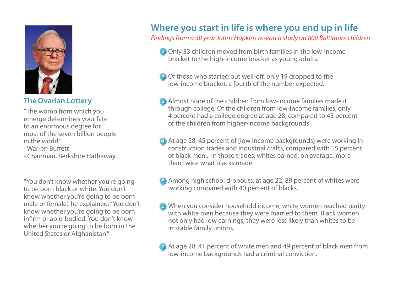

**The Ovarian Lottery**

"The womb from which you emerge determines your fate to an enormous degree for most of the seven billion people in the world."

- Warren Buffett

- Chairman, Berkshire Hathaway

"You don't know whether you're going to be born black or white. You don't know whether you're going to be born male or female," he explained. "You don't know whether you're going to be born infirm or able-bodied. You don't know whether you're going to be born in the United States or Afghanistan."

## **Where you start in life is where you end up in life**

Findings from a 30 year Johns Hopkins research study on 800 Baltimore children

- Only 33 children moved from birth families in the low-income bracket to the high-income bracket as young adults.
- **a** Of those who started out well-off, only 19 dropped to the low-income bracket, a fourth of the number expected.
- Almost none of the children from low-income families made it through college. Of the children from low-income families, only 4 percent had a college degree at age 28, compared to 45 percent of the children from higher-income backgrounds
- At age 28, 45 percent of [low income backgrounds] were working in construction trades and industrial crafts, compared with 15 percent of black men... In those trades, whites earned, on average, more than twice what blacks made.
- Among high school dropouts, at age 22, 89 percent of whites were working compared with 40 percent of blacks.
- When you consider household income, white women reached parity with white men because they were married to them. Black women not only had low earnings, they were less likely than whites to be in stable family unions.
- At age 28, 41 percent of white men and 49 percent of black men from low-income backgrounds had a criminal conviction.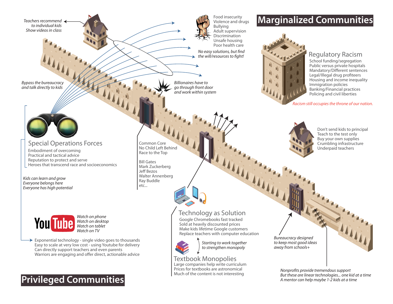Teachers recommend to individual kidsShow videos in class

Bypass the bureaucracy and talk directly to kids

#### Special Operations Forces

Embodiment of overcoming<br>
Practical and tactical advice<br>
Practical and tactical advice Reputation to protect and serve Heroes that transcend race and socioeconomics

Kids can learn and grow Everyone belongs here Everyone has high potential



Watch on phone Watch on desktop Watch on tablet Watch on TV

 $\rightarrow$  Exponential technology - single video goes to thousands Easy to scale at very low cost - using Youtube for delivery Can directly support teachers and even parents Warriors are engaging and offer direct, actionable advice

## **Privileged Communities**

Food insecurity Violence and drugs Bullying Adult supervision Discrimination Unsafe housing Poor health careNo easy solutions, but find the will/resources to fight!

#### Billionaires have to go through front door and work within system





#### Regulatory Racism

School funding/segregation Public versus private hospitals Mandatory/Different sentences Legal/Illegal drug profiteers Housing and income inequality Immigration policies Banking/Financial practices Policing and civil liberties

Racism still occupies the throne of our nation.



Don't send kids to principal Teach to the test only Buy your own supplies Crumbling infrastructure Underpaid teachers

Common CoreNo Child Left Behind

Bill Gates Mark Zuckerberg Jeff Bezos Walter Annenberg Ray Buddle etc...



#### Technology as Solution

Google Chromebooks fast tracked Sold at heavily discounted prices Make kids lifetime Google customers Replace teachers with computer education



Starting to work together to strengthen monopoly

Large companies help write curriculum Prices for textbooks are astronomicalMuch of the content is not interesting Textbook Monopolies

Bureaucracy designed to keep most good ideas away from schools+

> Nonprofits provide tremendous support But these are linear technologies... one kid at a time A mentor can help maybe 1-2 kids at a time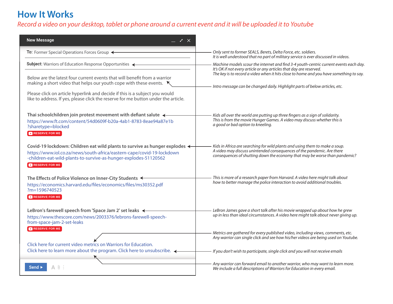## **How It Works**

### Record a video on your desktop, tablet or phone around a current event and it will be uploaded it to Youtube

| <b>New Message</b>                                                                                                                                                                                                                                                                                                          |                                                                                                                                                                                                                                     |  |
|-----------------------------------------------------------------------------------------------------------------------------------------------------------------------------------------------------------------------------------------------------------------------------------------------------------------------------|-------------------------------------------------------------------------------------------------------------------------------------------------------------------------------------------------------------------------------------|--|
| To: Former Special Operations Forces Group ←                                                                                                                                                                                                                                                                                | Only sent to former SEALS, Berets, Delta Force, etc. soldiers.<br>It is well understood that no part of military service is ever discussed in videos.                                                                               |  |
| Subject: Warriors of Education Response Opportunities <                                                                                                                                                                                                                                                                     | Machine models scour the internet and find 3-4 youth-centric current events each day.<br>It's OK if not every article or any articles that day are reserved.                                                                        |  |
| Below are the latest four current events that will benefit from a warrior<br>making a short video that helps our youth cope with these events. $\star$<br>Please click on article hyperlink and decide if this is a subject you would<br>like to address. If yes, please click the reserve for me button under the article. | The key is to record a video when it hits close to home and you have something to say.<br>Intro message can be changed daily. Highlight parts of below articles, etc.                                                               |  |
| Thai schoolchildren join protest movement with defiant salute $\leftarrow$<br>https://www.ft.com/content/54d0609f-b20a-4ab1-8783-8eae94a87e1b<br>?sharetype=blocked<br>RESERVE FOR ME                                                                                                                                       | Kids all over the world are putting up three fingers as a sign of solidarity.<br>This is from the movie Hunger Games. A video may discuss whether this is<br>a good or bad option to kneeling.                                      |  |
| Covid-19 lockdown: Children eat wild plants to survive as hunger explodes ←<br>https://www.iol.co.za/news/south-africa/eastern-cape/covid-19-lockdown<br>-children-eat-wild-plants-to-survive-as-hunger-explodes-51120562<br>RESERVE FOR ME                                                                                 | Kids in Africa are searching for wild plants and using them to make a soup.<br>A video may discuss unintended consequences of the pandemic. Are there<br>consequences of shutting down the economy that may be worse than pandemic? |  |
| The Effects of Police Violence on Inner-City Students <<br>https://economics.harvard.edu/files/economics/files/ms30352.pdf<br>?m=1596740523<br>RESERVE FOR ME                                                                                                                                                               | This is more of a research paper from Harvard. A video here might talk about<br>how to better manage the police interaction to avoid additional troubles.                                                                           |  |
| LeBron's farewell speech from 'Space Jam 2' set leaks <<br>https://www.thescore.com/news/2003376/lebrons-farewell-speech-<br>from-space-jam-2-set-leaks                                                                                                                                                                     | LeBron James gave a short talk after his movie wrapped up about how he grew<br>up in less than ideal circumstances. A video here might talk about never giving up.                                                                  |  |
| RESERVE FOR ME                                                                                                                                                                                                                                                                                                              | Metrics are gathered for every published video, including views, comments, etc.<br>Any warrior can single click and see how his/her videos are being used on Youtube.                                                               |  |
| Click here for current video metrics on Warriors for Education.<br>Click here to learn more about the program. Click here to unsubscribe. <                                                                                                                                                                                 | If you don't wish to participate, single click and you will not receive emails                                                                                                                                                      |  |
| Send $\triangleright$                                                                                                                                                                                                                                                                                                       | Any warrior can forward email to another warrior, who may want to learn more.<br>We include a full descriptions of Warriors for Education in every email.                                                                           |  |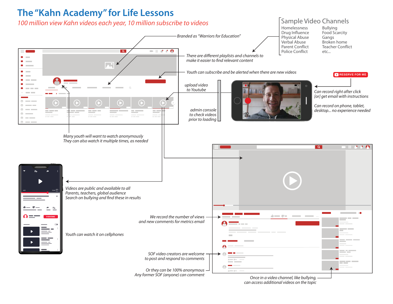

 $\blacksquare$  $\blacksquare$  $\bullet$  . The set of  $\bullet$  $\bullet$  and  $\bullet$ **Contract Contract**  $\theta =$ 

 $\theta = -1$  $\theta =$  $\theta =$  $\alpha = \theta =$ 

 $\mathcal P$ 

#### Sample Video Channels

Homelessness Drug Influence Physical Abuse Verbal Abuse Parent ConflictPolice Conflict

Bullying Food Scarcity Gangs Broken home Teacher Conflictetc...

Youth can subscribe and be alerted when there are new videos



Can record right after click [or] get email with instructions

**RESERVE FOR ME** 

Can record on phone, tablet, desktop... no experience needed

Many youth will want to watch anonymously They can also watch it multiple times, as needed  $\overline{\mathbf{a}}$  $\blacksquare$   $\blacksquare$   $\blacksquare$   $\blacksquare$   $\blacksquare$   $\blacksquare$   $\blacksquare$ Videos are public and available to all  $1200$   $120$ Parents, teachers, global audience Search on bullying and find these in results de como de con-We record the number of views**COLLEGE** and new comments for metrics email and the con-Youth can watch it on cellphones والمربع والمواص SOF video creators are welcometo post and respond to comments  $\phi = -\phi + \ldots =$ ang m \_\_  $\bigcap$ Or they can be 100% anonymous  $\Delta\gamma=0.01$ Any former SOF (anyone) can commentOnce in a video channel, like bullying,

upload video to Youtube

> admin consoleto check videosprior to loading

> > can access additional videos on the topic